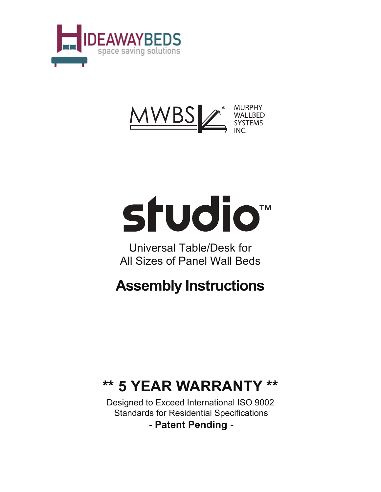



# studio<sup>™</sup>

Universal Table/Desk for All Sizes of Panel Wall Beds

# **Assembly Instructions**

# **\*\* 5 YEAR WARRANTY \*\***

Designed to Exceed International ISO 9002 Standards for Residential Specifications

**- Patent Pending -**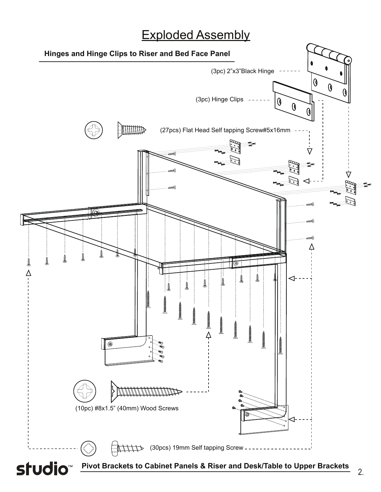# Exploded Assembly

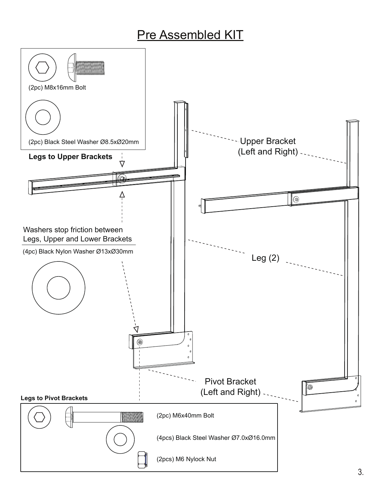# **Pre Assembled KIT**

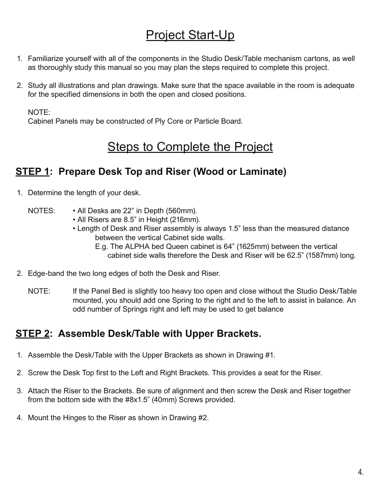# Project Start-Up

- Familiarize yourself with all of the components in the Studio Desk/Table mechanism cartons, as well 1. as thoroughly study this manual so you may plan the steps required to complete this project.
- Study all illustrations and plan drawings. Make sure that the space available in the room is adequate 2. for the specified dimensions in both the open and closed positions.

NOTE:

Cabinet Panels may be constructed of Ply Core or Particle Board.

### **Steps to Complete the Project**

#### **STEP 1: Prepare Desk Top and Riser (Wood or Laminate)**

- 1. Determine the length of your desk.
	- NOTES: All Desks are 22" in Depth (560mm).
		- All Risers are 8.5" in Height (216mm).
		- Length of Desk and Riser assembly is always 1.5" less than the measured distance between the vertical Cabinet side walls.
			- E.g. The ALPHA bed Queen cabinet is 64" (1625mm) between the vertical cabinet side walls therefore the Desk and Riser will be 62.5" (1587mm) long.
- Edge-band the two long edges of both the Desk and Riser. 2.
	- NOTE: If the Panel Bed is slightly too heavy too open and close without the Studio Desk/Table mounted, you should add one Spring to the right and to the left to assist in balance. An odd number of Springs right and left may be used to get balance

#### **STEP 2: Assemble Desk/Table with Upper Brackets.**

- Assemble the Desk/Table with the Upper Brackets as shown in Drawing #1. 1.
- 2. Screw the Desk Top first to the Left and Right Brackets. This provides a seat for the Riser.
- Attach the Riser to the Brackets. Be sure of alignment and then screw the Desk and Riser together 3. from the bottom side with the #8x1.5" (40mm) Screws provided.
- 4. Mount the Hinges to the Riser as shown in Drawing #2.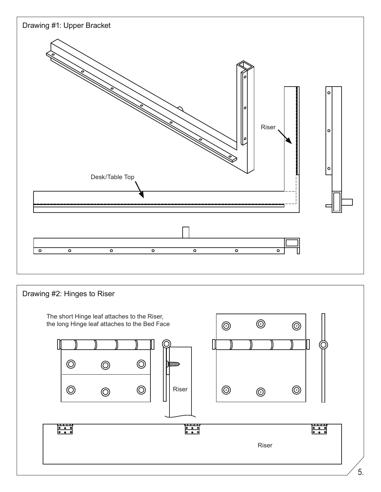

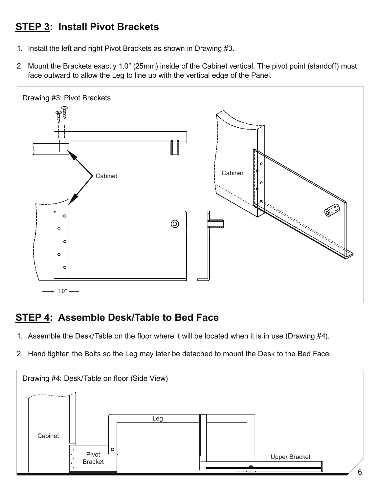#### **STEP 3: Install Pivot Brackets**

- 1. Install the left and right Pivot Brackets as shown in Drawing #3.
- Mount the Brackets exactly 1.0" (25mm) inside of the Cabinet vertical. The pivot point (standoff) must 2. face outward to allow the Leg to line up with the vertical edge of the Panel.



#### **STEP 4: Assemble Desk/Table to Bed Face**

- Assemble the Desk/Table on the floor where it will be located when it is in use (Drawing #4). 1.
- 2. Hand tighten the Bolts so the Leg may later be detached to mount the Desk to the Bed Face.